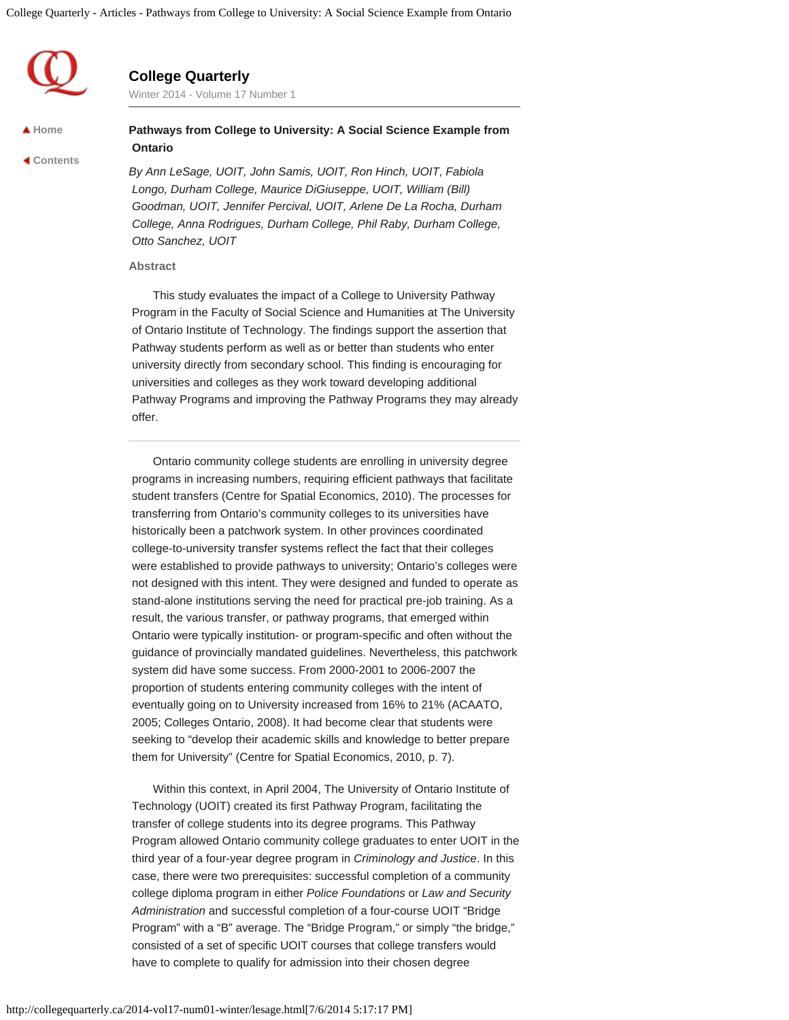

# **College Quarterly**

Winter 2014 - Volume 17 Number 1

**[Home](http://collegequarterly.ca/index.html)**

 **[Contents](http://collegequarterly.ca/2014-vol17-num01-winter/index.html)**

## **Pathways from College to University: A Social Science Example from Ontario**

*By Ann LeSage, UOIT, John Samis, UOIT, Ron Hinch, UOIT, Fabiola Longo, Durham College, Maurice DiGiuseppe, UOIT, William (Bill) Goodman, UOIT, Jennifer Percival, UOIT, Arlene De La Rocha, Durham College, Anna Rodrigues, Durham College, Phil Raby, Durham College, Otto Sanchez, UOIT*

#### **Abstract**

This study evaluates the impact of a College to University Pathway Program in the Faculty of Social Science and Humanities at The University of Ontario Institute of Technology. The findings support the assertion that Pathway students perform as well as or better than students who enter university directly from secondary school. This finding is encouraging for universities and colleges as they work toward developing additional Pathway Programs and improving the Pathway Programs they may already offer.

Ontario community college students are enrolling in university degree programs in increasing numbers, requiring efficient pathways that facilitate student transfers (Centre for Spatial Economics, 2010). The processes for transferring from Ontario's community colleges to its universities have historically been a patchwork system. In other provinces coordinated college-to-university transfer systems reflect the fact that their colleges were established to provide pathways to university; Ontario's colleges were not designed with this intent. They were designed and funded to operate as stand-alone institutions serving the need for practical pre-job training. As a result, the various transfer, or pathway programs, that emerged within Ontario were typically institution- or program-specific and often without the guidance of provincially mandated guidelines. Nevertheless, this patchwork system did have some success. From 2000-2001 to 2006-2007 the proportion of students entering community colleges with the intent of eventually going on to University increased from 16% to 21% (ACAATO, 2005; Colleges Ontario, 2008). It had become clear that students were seeking to "develop their academic skills and knowledge to better prepare them for University" (Centre for Spatial Economics, 2010, p. 7).

Within this context, in April 2004, The University of Ontario Institute of Technology (UOIT) created its first Pathway Program, facilitating the transfer of college students into its degree programs. This Pathway Program allowed Ontario community college graduates to enter UOIT in the third year of a four-year degree program in *Criminology and Justice*. In this case, there were two prerequisites: successful completion of a community college diploma program in either *Police Foundations* or *Law and Security Administration* and successful completion of a four-course UOIT "Bridge Program" with a "B" average. The "Bridge Program," or simply "the bridge," consisted of a set of specific UOIT courses that college transfers would have to complete to qualify for admission into their chosen degree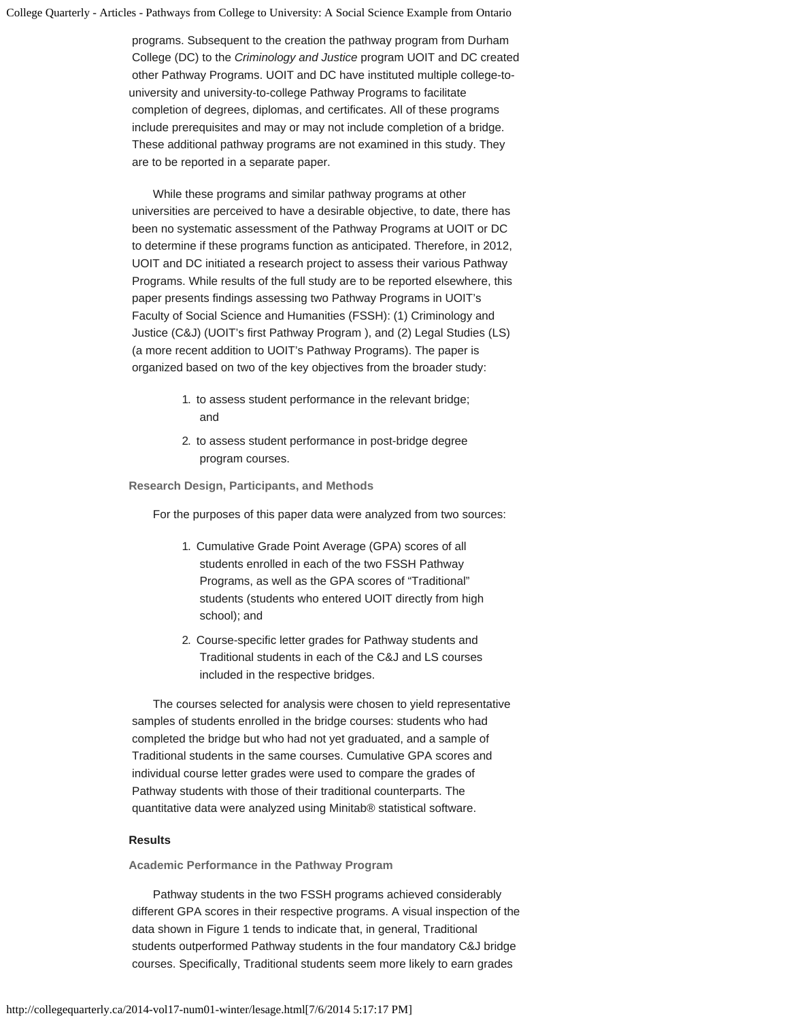programs. Subsequent to the creation the pathway program from Durham College (DC) to the *Criminology and Justice* program UOIT and DC created other Pathway Programs. UOIT and DC have instituted multiple college-touniversity and university-to-college Pathway Programs to facilitate completion of degrees, diplomas, and certificates. All of these programs include prerequisites and may or may not include completion of a bridge. These additional pathway programs are not examined in this study. They are to be reported in a separate paper.

While these programs and similar pathway programs at other universities are perceived to have a desirable objective, to date, there has been no systematic assessment of the Pathway Programs at UOIT or DC to determine if these programs function as anticipated. Therefore, in 2012, UOIT and DC initiated a research project to assess their various Pathway Programs. While results of the full study are to be reported elsewhere, this paper presents findings assessing two Pathway Programs in UOIT's Faculty of Social Science and Humanities (FSSH): (1) Criminology and Justice (C&J) (UOIT's first Pathway Program ), and (2) Legal Studies (LS) (a more recent addition to UOIT's Pathway Programs). The paper is organized based on two of the key objectives from the broader study:

- 1. to assess student performance in the relevant bridge; and
- 2. to assess student performance in post-bridge degree program courses.

**Research Design, Participants, and Methods**

For the purposes of this paper data were analyzed from two sources:

- 1. Cumulative Grade Point Average (GPA) scores of all students enrolled in each of the two FSSH Pathway Programs, as well as the GPA scores of "Traditional" students (students who entered UOIT directly from high school); and
- 2. Course-specific letter grades for Pathway students and Traditional students in each of the C&J and LS courses included in the respective bridges.

The courses selected for analysis were chosen to yield representative samples of students enrolled in the bridge courses: students who had completed the bridge but who had not yet graduated, and a sample of Traditional students in the same courses. Cumulative GPA scores and individual course letter grades were used to compare the grades of Pathway students with those of their traditional counterparts. The quantitative data were analyzed using Minitab® statistical software.

### **Results**

**Academic Performance in the Pathway Program**

Pathway students in the two FSSH programs achieved considerably different GPA scores in their respective programs. A visual inspection of the data shown in Figure 1 tends to indicate that, in general, Traditional students outperformed Pathway students in the four mandatory C&J bridge courses. Specifically, Traditional students seem more likely to earn grades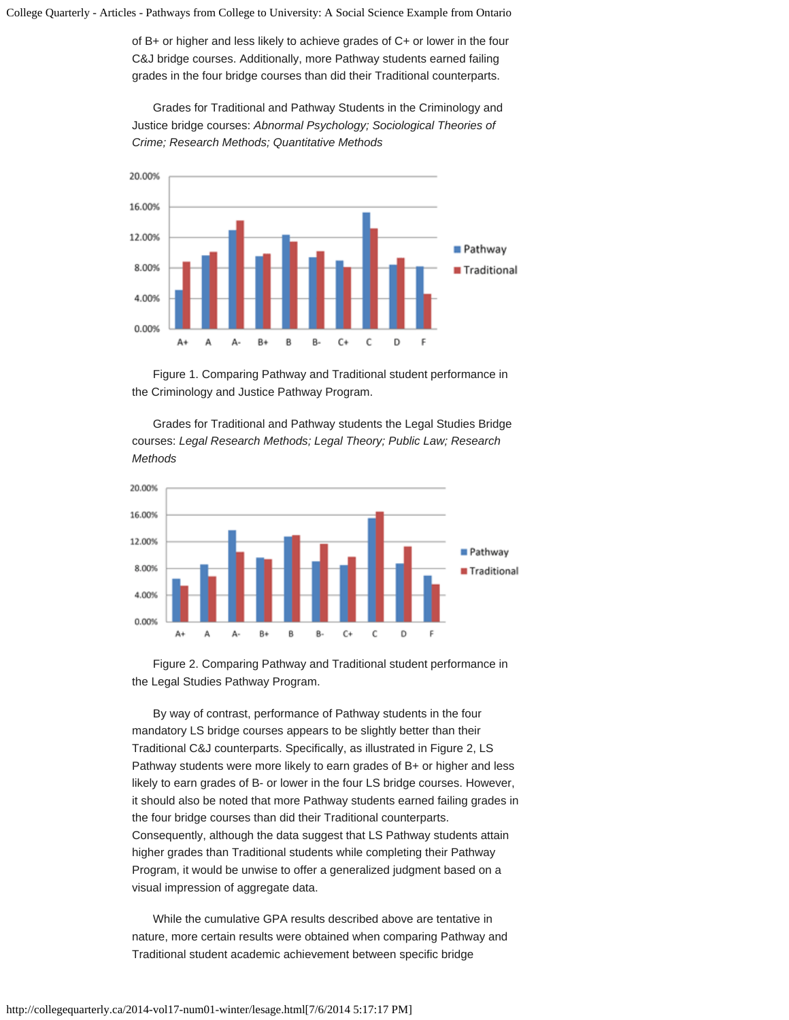of B+ or higher and less likely to achieve grades of C+ or lower in the four C&J bridge courses. Additionally, more Pathway students earned failing grades in the four bridge courses than did their Traditional counterparts.

Grades for Traditional and Pathway Students in the Criminology and Justice bridge courses: *Abnormal Psychology; Sociological Theories of Crime; Research Methods; Quantitative Methods*



Figure 1. Comparing Pathway and Traditional student performance in the Criminology and Justice Pathway Program.

Grades for Traditional and Pathway students the Legal Studies Bridge courses: *Legal Research Methods; Legal Theory; Public Law; Research Methods*



Figure 2. Comparing Pathway and Traditional student performance in the Legal Studies Pathway Program.

By way of contrast, performance of Pathway students in the four mandatory LS bridge courses appears to be slightly better than their Traditional C&J counterparts. Specifically, as illustrated in Figure 2, LS Pathway students were more likely to earn grades of B+ or higher and less likely to earn grades of B- or lower in the four LS bridge courses. However, it should also be noted that more Pathway students earned failing grades in the four bridge courses than did their Traditional counterparts. Consequently, although the data suggest that LS Pathway students attain higher grades than Traditional students while completing their Pathway Program, it would be unwise to offer a generalized judgment based on a visual impression of aggregate data.

While the cumulative GPA results described above are tentative in nature, more certain results were obtained when comparing Pathway and Traditional student academic achievement between specific bridge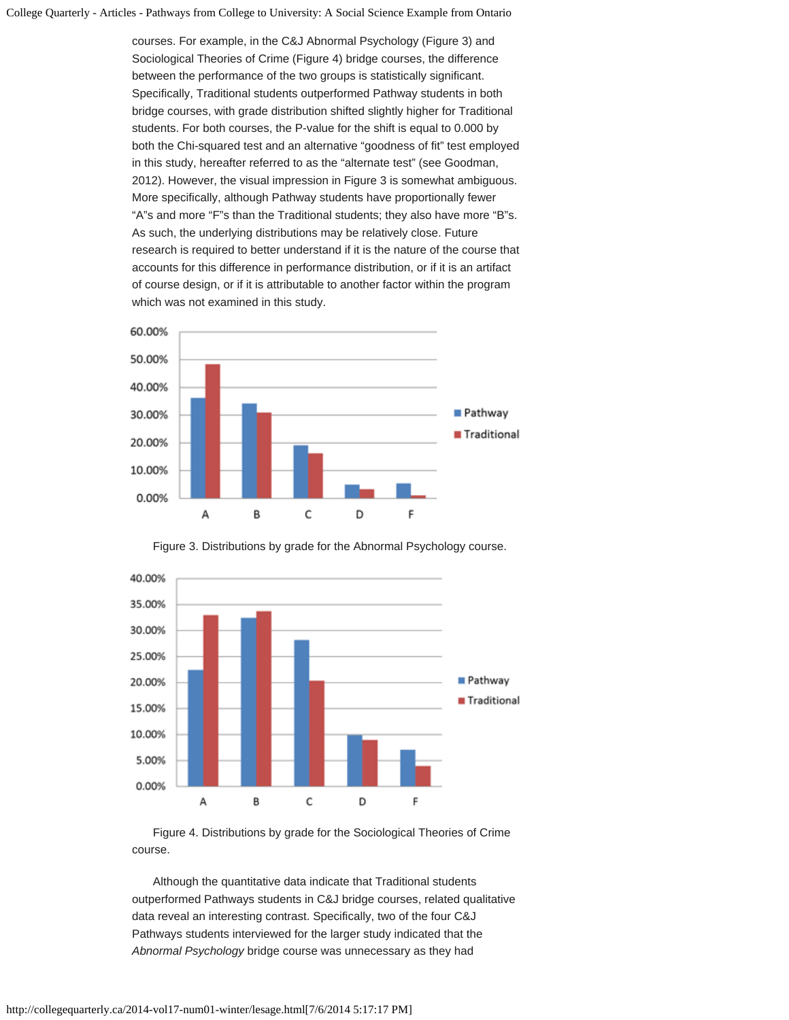courses. For example, in the C&J Abnormal Psychology (Figure 3) and Sociological Theories of Crime (Figure 4) bridge courses, the difference between the performance of the two groups is statistically significant. Specifically, Traditional students outperformed Pathway students in both bridge courses, with grade distribution shifted slightly higher for Traditional students. For both courses, the P-value for the shift is equal to 0.000 by both the Chi-squared test and an alternative "goodness of fit" test employed in this study, hereafter referred to as the "alternate test" (see Goodman, 2012). However, the visual impression in Figure 3 is somewhat ambiguous. More specifically, although Pathway students have proportionally fewer "A"s and more "F"s than the Traditional students; they also have more "B"s. As such, the underlying distributions may be relatively close. Future research is required to better understand if it is the nature of the course that accounts for this difference in performance distribution, or if it is an artifact of course design, or if it is attributable to another factor within the program which was not examined in this study.





Figure 3. Distributions by grade for the Abnormal Psychology course.

Figure 4. Distributions by grade for the Sociological Theories of Crime course.

Although the quantitative data indicate that Traditional students outperformed Pathways students in C&J bridge courses, related qualitative data reveal an interesting contrast. Specifically, two of the four C&J Pathways students interviewed for the larger study indicated that the *Abnormal Psychology* bridge course was unnecessary as they had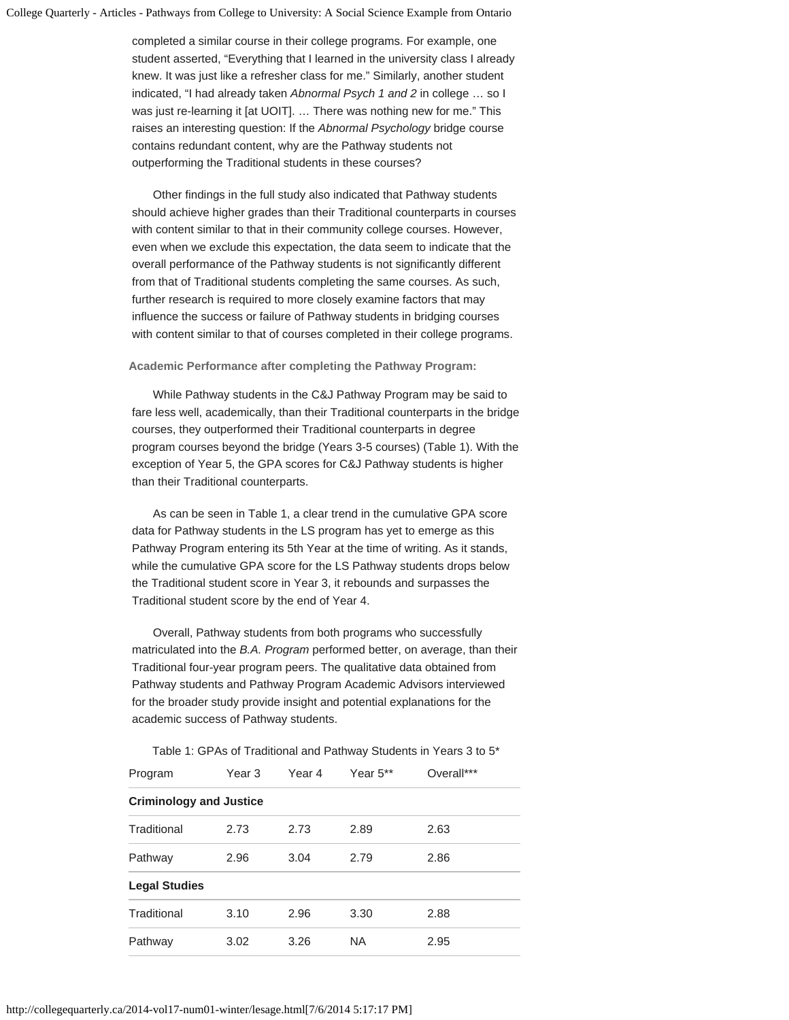completed a similar course in their college programs. For example, one student asserted, "Everything that I learned in the university class I already knew. It was just like a refresher class for me." Similarly, another student indicated, "I had already taken *Abnormal Psych 1 and 2* in college … so I was just re-learning it [at UOIT]. … There was nothing new for me." This raises an interesting question: If the *Abnormal Psychology* bridge course contains redundant content, why are the Pathway students not outperforming the Traditional students in these courses?

Other findings in the full study also indicated that Pathway students should achieve higher grades than their Traditional counterparts in courses with content similar to that in their community college courses. However, even when we exclude this expectation, the data seem to indicate that the overall performance of the Pathway students is not significantly different from that of Traditional students completing the same courses. As such, further research is required to more closely examine factors that may influence the success or failure of Pathway students in bridging courses with content similar to that of courses completed in their college programs.

#### **Academic Performance after completing the Pathway Program:**

While Pathway students in the C&J Pathway Program may be said to fare less well, academically, than their Traditional counterparts in the bridge courses, they outperformed their Traditional counterparts in degree program courses beyond the bridge (Years 3-5 courses) (Table 1). With the exception of Year 5, the GPA scores for C&J Pathway students is higher than their Traditional counterparts.

As can be seen in Table 1, a clear trend in the cumulative GPA score data for Pathway students in the LS program has yet to emerge as this Pathway Program entering its 5th Year at the time of writing. As it stands, while the cumulative GPA score for the LS Pathway students drops below the Traditional student score in Year 3, it rebounds and surpasses the Traditional student score by the end of Year 4.

Overall, Pathway students from both programs who successfully matriculated into the *B.A. Program* performed better, on average, than their Traditional four-year program peers. The qualitative data obtained from Pathway students and Pathway Program Academic Advisors interviewed for the broader study provide insight and potential explanations for the academic success of Pathway students.

| Program                        | Year 3 | Year 4 | Year $5**$ | Overall*** |  |
|--------------------------------|--------|--------|------------|------------|--|
| <b>Criminology and Justice</b> |        |        |            |            |  |
| Traditional                    | 2.73   | 2.73   | 2.89       | 2.63       |  |
| Pathway                        | 2.96   | 3.04   | 2.79       | 2.86       |  |
| <b>Legal Studies</b>           |        |        |            |            |  |
| Traditional                    | 3.10   | 2.96   | 3.30       | 2.88       |  |
| Pathway                        | 3.02   | 3.26   | <b>NA</b>  | 2.95       |  |

Table 1: GPAs of Traditional and Pathway Students in Years 3 to 5\*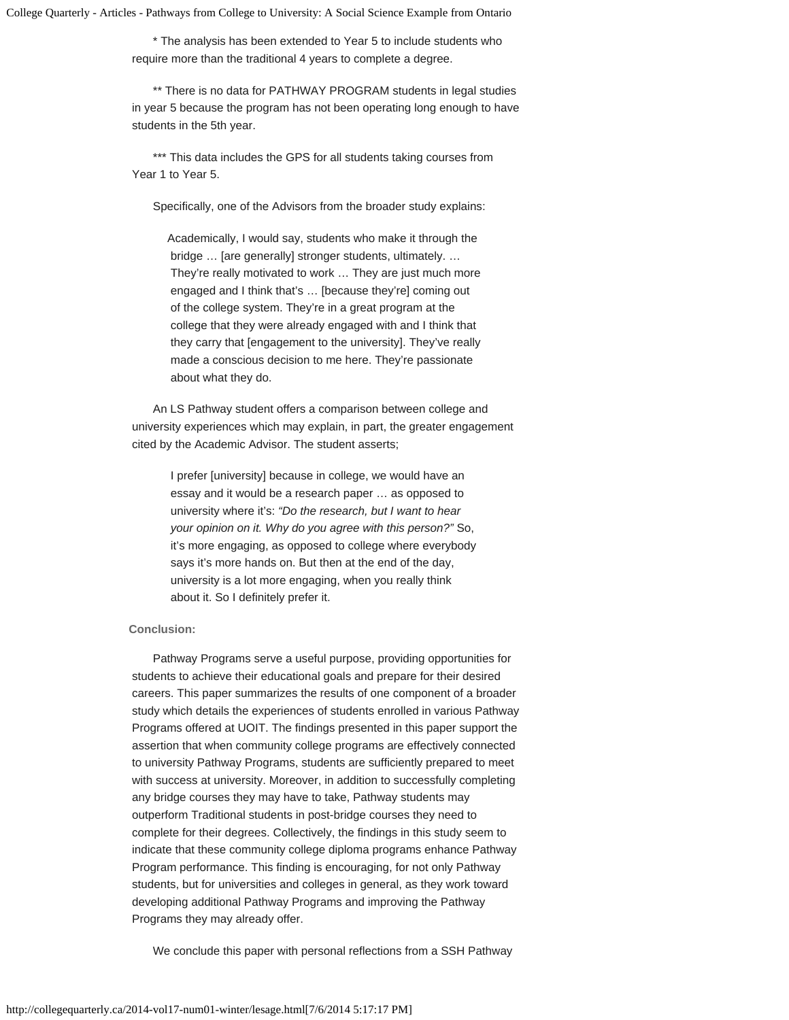\* The analysis has been extended to Year 5 to include students who require more than the traditional 4 years to complete a degree.

\*\* There is no data for PATHWAY PROGRAM students in legal studies in year 5 because the program has not been operating long enough to have students in the 5th year.

\*\*\* This data includes the GPS for all students taking courses from Year 1 to Year 5.

Specifically, one of the Advisors from the broader study explains:

Academically, I would say, students who make it through the bridge … [are generally] stronger students, ultimately. … They're really motivated to work … They are just much more engaged and I think that's … [because they're] coming out of the college system. They're in a great program at the college that they were already engaged with and I think that they carry that [engagement to the university]. They've really made a conscious decision to me here. They're passionate about what they do.

An LS Pathway student offers a comparison between college and university experiences which may explain, in part, the greater engagement cited by the Academic Advisor. The student asserts;

> I prefer [university] because in college, we would have an essay and it would be a research paper … as opposed to university where it's: *"Do the research, but I want to hear your opinion on it. Why do you agree with this person?"* So, it's more engaging, as opposed to college where everybody says it's more hands on. But then at the end of the day, university is a lot more engaging, when you really think about it. So I definitely prefer it.

## **Conclusion:**

Pathway Programs serve a useful purpose, providing opportunities for students to achieve their educational goals and prepare for their desired careers. This paper summarizes the results of one component of a broader study which details the experiences of students enrolled in various Pathway Programs offered at UOIT. The findings presented in this paper support the assertion that when community college programs are effectively connected to university Pathway Programs, students are sufficiently prepared to meet with success at university. Moreover, in addition to successfully completing any bridge courses they may have to take, Pathway students may outperform Traditional students in post-bridge courses they need to complete for their degrees. Collectively, the findings in this study seem to indicate that these community college diploma programs enhance Pathway Program performance. This finding is encouraging, for not only Pathway students, but for universities and colleges in general, as they work toward developing additional Pathway Programs and improving the Pathway Programs they may already offer.

We conclude this paper with personal reflections from a SSH Pathway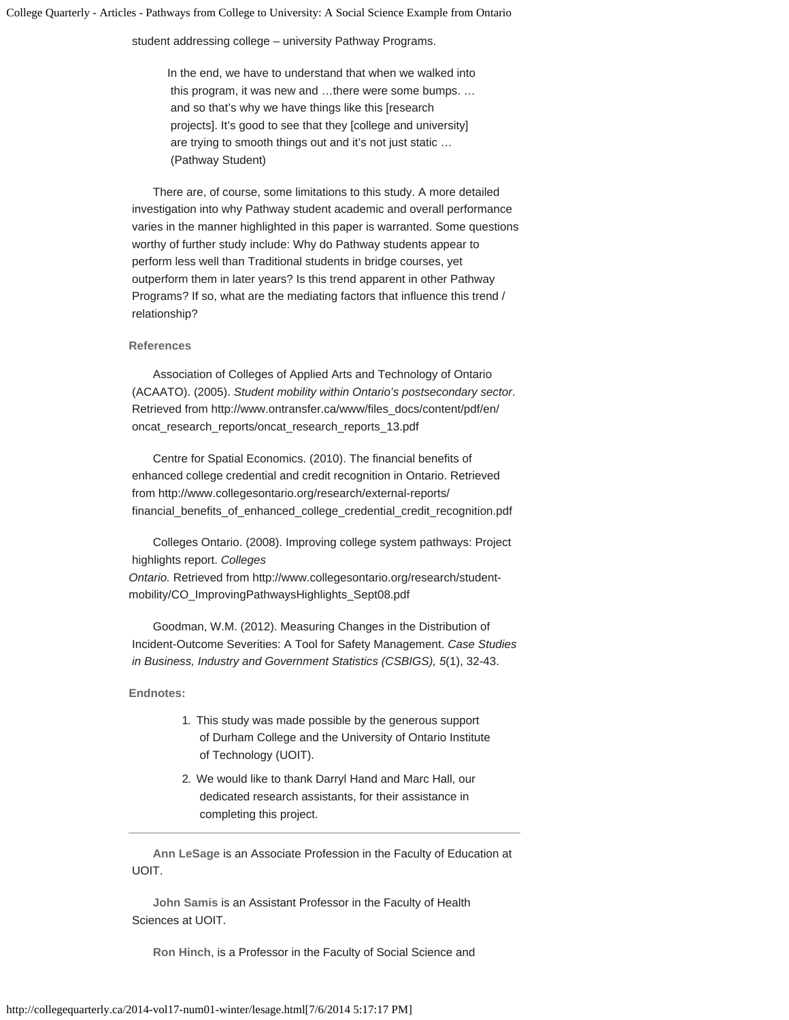student addressing college – university Pathway Programs.

In the end, we have to understand that when we walked into this program, it was new and …there were some bumps. … and so that's why we have things like this [research projects]. It's good to see that they [college and university] are trying to smooth things out and it's not just static … (Pathway Student)

There are, of course, some limitations to this study. A more detailed investigation into why Pathway student academic and overall performance varies in the manner highlighted in this paper is warranted. Some questions worthy of further study include: Why do Pathway students appear to perform less well than Traditional students in bridge courses, yet outperform them in later years? Is this trend apparent in other Pathway Programs? If so, what are the mediating factors that influence this trend / relationship?

### **References**

Association of Colleges of Applied Arts and Technology of Ontario (ACAATO). (2005). *Student mobility within Ontario's postsecondary sector*. Retrieved from http://www.ontransfer.ca/www/files\_docs/content/pdf/en/ oncat\_research\_reports/oncat\_research\_reports\_13.pdf

Centre for Spatial Economics. (2010). The financial benefits of enhanced college credential and credit recognition in Ontario. Retrieved from http://www.collegesontario.org/research/external-reports/ financial\_benefits\_of\_enhanced\_college\_credential\_credit\_recognition.pdf

Colleges Ontario. (2008). Improving college system pathways: Project highlights report. *Colleges*

*Ontario.* Retrieved from http://www.collegesontario.org/research/studentmobility/CO\_ImprovingPathwaysHighlights\_Sept08.pdf

Goodman, W.M. (2012). Measuring Changes in the Distribution of Incident-Outcome Severities: A Tool for Safety Management. *Case Studies in Business, Industry and Government Statistics (CSBIGS), 5*(1), 32-43.

**Endnotes:**

- 1. This study was made possible by the generous support of Durham College and the University of Ontario Institute of Technology (UOIT).
- 2. We would like to thank Darryl Hand and Marc Hall, our dedicated research assistants, for their assistance in completing this project.

**Ann LeSage** is an Associate Profession in the Faculty of Education at UOIT.

**John Samis** is an Assistant Professor in the Faculty of Health Sciences at UOIT.

**Ron Hinch**, is a Professor in the Faculty of Social Science and